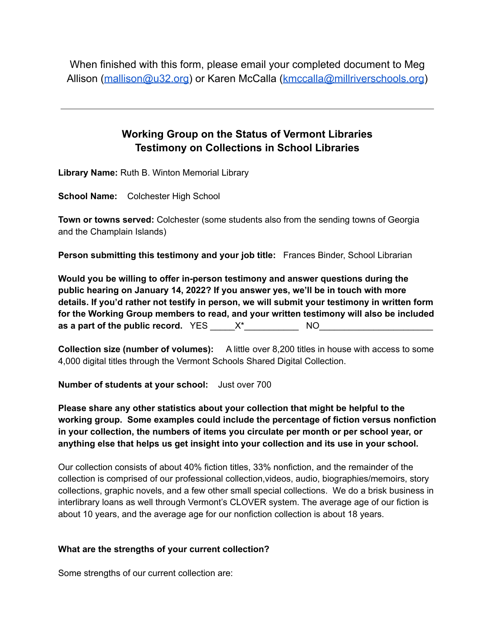When finished with this form, please email your completed document to Meg Allison ([mallison@u32.org\)](mailto:mallison@u32.org) or Karen McCalla [\(kmccalla@millriverschools.org](mailto:kmccalla@millriverschools.org))

# **Working Group on the Status of Vermont Libraries Testimony on Collections in School Libraries**

**Library Name:** Ruth B. Winton Memorial Library

**School Name:** Colchester High School

**Town or towns served:** Colchester (some students also from the sending towns of Georgia and the Champlain Islands)

**Person submitting this testimony and your job title:** Frances Binder, School Librarian

**Would you be willing to offer in-person testimony and answer questions during the public hearing on January 14, 2022? If you answer yes, we'll be in touch with more details. If you'd rather not testify in person, we will submit your testimony in written form for the Working Group members to read, and your written testimony will also be included as a part of the public record.** YES \_\_\_\_\_X\*\_\_\_\_\_\_\_\_\_\_\_ NO\_\_\_\_\_\_\_\_\_\_\_\_\_\_\_\_\_\_\_\_\_\_\_

**Collection size (number of volumes):** A little over 8,200 titles in house with access to some 4,000 digital titles through the Vermont Schools Shared Digital Collection.

**Number of students at your school:** Just over 700

**Please share any other statistics about your collection that might be helpful to the working group. Some examples could include the percentage of fiction versus nonfiction in your collection, the numbers of items you circulate per month or per school year, or anything else that helps us get insight into your collection and its use in your school.**

Our collection consists of about 40% fiction titles, 33% nonfiction, and the remainder of the collection is comprised of our professional collection,videos, audio, biographies/memoirs, story collections, graphic novels, and a few other small special collections. We do a brisk business in interlibrary loans as well through Vermont's CLOVER system. The average age of our fiction is about 10 years, and the average age for our nonfiction collection is about 18 years.

## **What are the strengths of your current collection?**

Some strengths of our current collection are: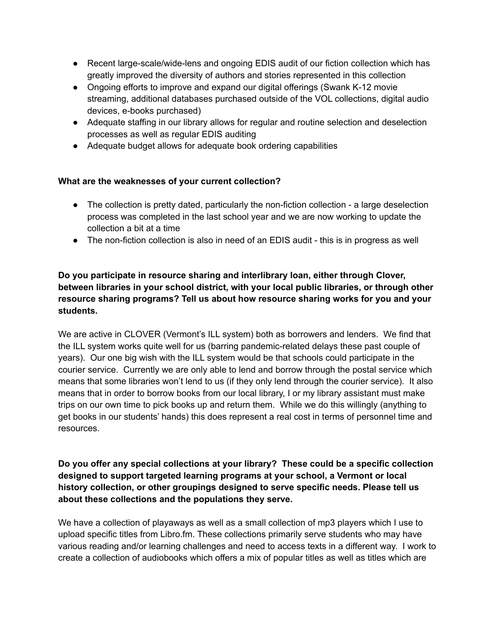- Recent large-scale/wide-lens and ongoing EDIS audit of our fiction collection which has greatly improved the diversity of authors and stories represented in this collection
- Ongoing efforts to improve and expand our digital offerings (Swank K-12 movie streaming, additional databases purchased outside of the VOL collections, digital audio devices, e-books purchased)
- Adequate staffing in our library allows for regular and routine selection and deselection processes as well as regular EDIS auditing
- Adequate budget allows for adequate book ordering capabilities

## **What are the weaknesses of your current collection?**

- The collection is pretty dated, particularly the non-fiction collection a large deselection process was completed in the last school year and we are now working to update the collection a bit at a time
- The non-fiction collection is also in need of an EDIS audit this is in progress as well

# **Do you participate in resource sharing and interlibrary loan, either through Clover, between libraries in your school district, with your local public libraries, or through other resource sharing programs? Tell us about how resource sharing works for you and your students.**

We are active in CLOVER (Vermont's ILL system) both as borrowers and lenders. We find that the ILL system works quite well for us (barring pandemic-related delays these past couple of years). Our one big wish with the ILL system would be that schools could participate in the courier service. Currently we are only able to lend and borrow through the postal service which means that some libraries won't lend to us (if they only lend through the courier service). It also means that in order to borrow books from our local library, I or my library assistant must make trips on our own time to pick books up and return them. While we do this willingly (anything to get books in our students' hands) this does represent a real cost in terms of personnel time and resources.

## **Do you offer any special collections at your library? These could be a specific collection designed to support targeted learning programs at your school, a Vermont or local history collection, or other groupings designed to serve specific needs. Please tell us about these collections and the populations they serve.**

We have a collection of playaways as well as a small collection of mp3 players which I use to upload specific titles from Libro.fm. These collections primarily serve students who may have various reading and/or learning challenges and need to access texts in a different way. I work to create a collection of audiobooks which offers a mix of popular titles as well as titles which are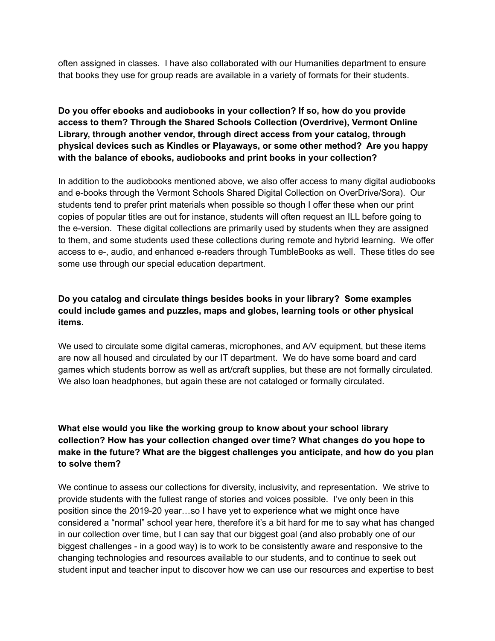often assigned in classes. I have also collaborated with our Humanities department to ensure that books they use for group reads are available in a variety of formats for their students.

# **Do you offer ebooks and audiobooks in your collection? If so, how do you provide access to them? Through the Shared Schools Collection (Overdrive), Vermont Online Library, through another vendor, through direct access from your catalog, through physical devices such as Kindles or Playaways, or some other method? Are you happy with the balance of ebooks, audiobooks and print books in your collection?**

In addition to the audiobooks mentioned above, we also offer access to many digital audiobooks and e-books through the Vermont Schools Shared Digital Collection on OverDrive/Sora). Our students tend to prefer print materials when possible so though I offer these when our print copies of popular titles are out for instance, students will often request an ILL before going to the e-version. These digital collections are primarily used by students when they are assigned to them, and some students used these collections during remote and hybrid learning. We offer access to e-, audio, and enhanced e-readers through TumbleBooks as well. These titles do see some use through our special education department.

## **Do you catalog and circulate things besides books in your library? Some examples could include games and puzzles, maps and globes, learning tools or other physical items.**

We used to circulate some digital cameras, microphones, and A/V equipment, but these items are now all housed and circulated by our IT department. We do have some board and card games which students borrow as well as art/craft supplies, but these are not formally circulated. We also loan headphones, but again these are not cataloged or formally circulated.

# **What else would you like the working group to know about your school library collection? How has your collection changed over time? What changes do you hope to make in the future? What are the biggest challenges you anticipate, and how do you plan to solve them?**

We continue to assess our collections for diversity, inclusivity, and representation. We strive to provide students with the fullest range of stories and voices possible. I've only been in this position since the 2019-20 year…so I have yet to experience what we might once have considered a "normal" school year here, therefore it's a bit hard for me to say what has changed in our collection over time, but I can say that our biggest goal (and also probably one of our biggest challenges - in a good way) is to work to be consistently aware and responsive to the changing technologies and resources available to our students, and to continue to seek out student input and teacher input to discover how we can use our resources and expertise to best